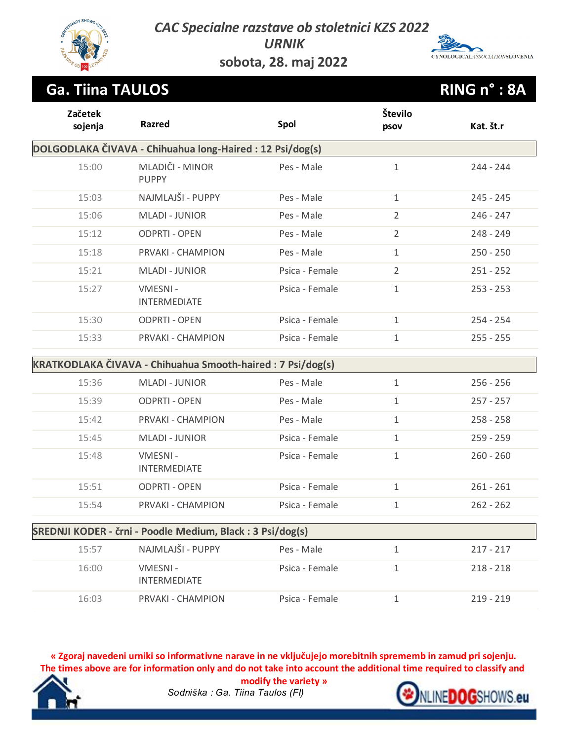*CAC Specialne razstave ob stoletnici KZS 2022*

*URNIK*



**sobota, 28. maj 2022**

### **Ga. Tiina TAULOS RING n° : 8A**

| Začetek<br>sojenja | Razred                                                     | Spol           | Število<br>psov | Kat. št.r   |
|--------------------|------------------------------------------------------------|----------------|-----------------|-------------|
|                    | DOLGODLAKA ČIVAVA - Chihuahua long-Haired: 12 Psi/dog(s)   |                |                 |             |
| 15:00              | MLADIČI - MINOR<br><b>PUPPY</b>                            | Pes - Male     | $\mathbf{1}$    | 244 - 244   |
| 15:03              | NAJMLAJŠI - PUPPY                                          | Pes - Male     | $\mathbf{1}$    | $245 - 245$ |
| 15:06              | <b>MLADI - JUNIOR</b>                                      | Pes - Male     | $\overline{2}$  | $246 - 247$ |
| 15:12              | <b>ODPRTI - OPEN</b>                                       | Pes - Male     | $\overline{2}$  | $248 - 249$ |
| 15:18              | PRVAKI - CHAMPION                                          | Pes - Male     | $\mathbf{1}$    | $250 - 250$ |
| 15:21              | <b>MLADI - JUNIOR</b>                                      | Psica - Female | $\overline{2}$  | $251 - 252$ |
| 15:27              | VMESNI-<br>INTERMEDIATE                                    | Psica - Female | $\mathbf{1}$    | $253 - 253$ |
| 15:30              | <b>ODPRTI - OPEN</b>                                       | Psica - Female | $\mathbf{1}$    | $254 - 254$ |
| 15:33              | <b>PRVAKI - CHAMPION</b>                                   | Psica - Female | $\mathbf{1}$    | $255 - 255$ |
|                    | KRATKODLAKA ČIVAVA - Chihuahua Smooth-haired: 7 Psi/dog(s) |                |                 |             |
| 15:36              | <b>MLADI - JUNIOR</b>                                      | Pes - Male     | $\mathbf{1}$    | $256 - 256$ |
| 15:39              | <b>ODPRTI - OPEN</b>                                       | Pes - Male     | $\mathbf{1}$    | $257 - 257$ |
| 15:42              | PRVAKI - CHAMPION                                          | Pes - Male     | $\mathbf{1}$    | $258 - 258$ |
| 15:45              | <b>MLADI - JUNIOR</b>                                      | Psica - Female | $\mathbf{1}$    | $259 - 259$ |
| 15:48              | VMESNI-<br>INTERMEDIATE                                    | Psica - Female | $\mathbf{1}$    | $260 - 260$ |
| 15:51              | <b>ODPRTI - OPEN</b>                                       | Psica - Female | $\mathbf{1}$    | $261 - 261$ |
| 15:54              | <b>PRVAKI - CHAMPION</b>                                   | Psica - Female | $\mathbf{1}$    | $262 - 262$ |
|                    | SREDNJI KODER - črni - Poodle Medium, Black : 3 Psi/dog(s) |                |                 |             |
| 15:57              | NAJMLAJŠI - PUPPY                                          | Pes - Male     | $\mathbf{1}$    | $217 - 217$ |
| 16:00              | VMESNI-<br>INTERMEDIATE                                    | Psica - Female | $\mathbf{1}$    | $218 - 218$ |
| 16:03              | PRVAKI - CHAMPION                                          | Psica - Female | $\mathbf 1$     | $219 - 219$ |

**« Zgoraj navedeni urniki so informativne narave in ne vključujejo morebitnih sprememb in zamud pri sojenju. The times above are for information only and do not take into account the additional time required to classify and** 



*Sodniška : Ga. Tiina Taulos (FI)* **modify the variety »**

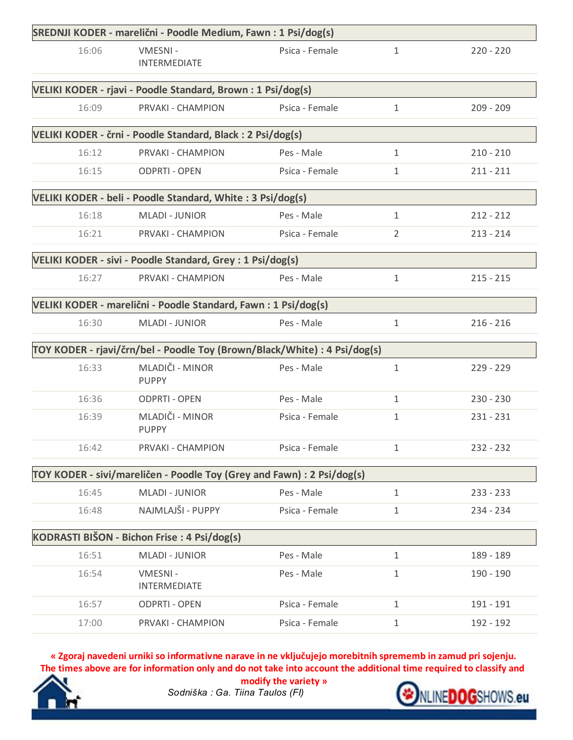|       | SREDNJI KODER - marelični - Poodle Medium, Fawn : 1 Psi/dog(s)            |                |                |             |
|-------|---------------------------------------------------------------------------|----------------|----------------|-------------|
| 16:06 | VMESNI-<br>INTERMEDIATE                                                   | Psica - Female | 1              | $220 - 220$ |
|       | VELIKI KODER - rjavi - Poodle Standard, Brown: 1 Psi/dog(s)               |                |                |             |
| 16:09 | PRVAKI - CHAMPION                                                         | Psica - Female | $\mathbf{1}$   | $209 - 209$ |
|       | VELIKI KODER - črni - Poodle Standard, Black : 2 Psi/dog(s)               |                |                |             |
| 16:12 | PRVAKI - CHAMPION                                                         | Pes - Male     | $\mathbf{1}$   | $210 - 210$ |
| 16:15 | <b>ODPRTI - OPEN</b>                                                      | Psica - Female | 1              | $211 - 211$ |
|       | VELIKI KODER - beli - Poodle Standard, White : 3 Psi/dog(s)               |                |                |             |
| 16:18 | <b>MLADI - JUNIOR</b>                                                     | Pes - Male     | 1              | $212 - 212$ |
| 16:21 | PRVAKI - CHAMPION                                                         | Psica - Female | $\overline{2}$ | $213 - 214$ |
|       | VELIKI KODER - sivi - Poodle Standard, Grey : 1 Psi/dog(s)                |                |                |             |
| 16:27 | PRVAKI - CHAMPION                                                         | Pes - Male     | 1              | $215 - 215$ |
|       | VELIKI KODER - marelični - Poodle Standard, Fawn : 1 Psi/dog(s)           |                |                |             |
| 16:30 | <b>MLADI - JUNIOR</b>                                                     | Pes - Male     | 1              | $216 - 216$ |
|       | TOY KODER - rjavi/črn/bel - Poodle Toy (Brown/Black/White) : 4 Psi/dog(s) |                |                |             |
| 16:33 | MLADIČI - MINOR<br><b>PUPPY</b>                                           | Pes - Male     | 1              | $229 - 229$ |
| 16:36 | <b>ODPRTI - OPEN</b>                                                      | Pes - Male     | $\mathbf{1}$   | $230 - 230$ |
| 16:39 | MLADIČI - MINOR<br><b>PUPPY</b>                                           | Psica - Female | 1              | $231 - 231$ |
| 16:42 | PRVAKI - CHAMPION                                                         | Psica - Female | 1              | 232 - 232   |
|       | TOY KODER - sivi/mareličen - Poodle Toy (Grey and Fawn) : 2 Psi/dog(s)    |                |                |             |
| 16:45 | <b>MLADI - JUNIOR</b>                                                     | Pes - Male     | 1              | $233 - 233$ |
| 16:48 | NAJMLAJŠI - PUPPY                                                         | Psica - Female | 1              | $234 - 234$ |
|       | KODRASTI BIŠON - Bichon Frise : 4 Psi/dog(s)                              |                |                |             |
| 16:51 | <b>MLADI - JUNIOR</b>                                                     | Pes - Male     | $\mathbf{1}$   | 189 - 189   |
| 16:54 | VMESNI-<br><b>INTERMEDIATE</b>                                            | Pes - Male     | 1              | 190 - 190   |
| 16:57 | <b>ODPRTI - OPEN</b>                                                      | Psica - Female | $\mathbf{1}$   | 191 - 191   |
| 17:00 | PRVAKI - CHAMPION                                                         | Psica - Female | $\mathbf{1}$   | 192 - 192   |

**« Zgoraj navedeni urniki so informativne narave in ne vključujejo morebitnih sprememb in zamud pri sojenju. The times above are for information only and do not take into account the additional time required to classify and** 



*Sodniška : Ga. Tiina Taulos (FI)* **modify the variety »**

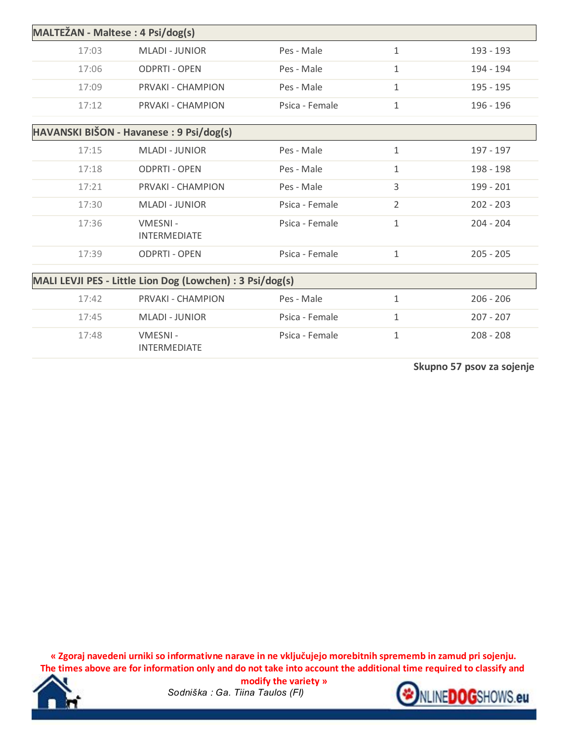| MALTEŽAN - Maltese : 4 Psi/dog(s) |                                                           |                |              |             |
|-----------------------------------|-----------------------------------------------------------|----------------|--------------|-------------|
| 17:03                             | <b>MLADI - JUNIOR</b>                                     | Pes - Male     | $\mathbf{1}$ | 193 - 193   |
| 17:06                             | <b>ODPRTI - OPEN</b>                                      | Pes - Male     | $\mathbf{1}$ | 194 - 194   |
| 17:09                             | PRVAKI - CHAMPION                                         | Pes - Male     | $\mathbf{1}$ | 195 - 195   |
| 17:12                             | PRVAKI - CHAMPION                                         | Psica - Female | $\mathbf{1}$ | 196 - 196   |
|                                   | HAVANSKI BIŠON - Havanese : 9 Psi/dog(s)                  |                |              |             |
| 17:15                             | <b>MLADI - JUNIOR</b>                                     | Pes - Male     | $\mathbf{1}$ | 197 - 197   |
| 17:18                             | <b>ODPRTI - OPEN</b>                                      | Pes - Male     | $\mathbf{1}$ | 198 - 198   |
| 17:21                             | PRVAKI - CHAMPION                                         | Pes - Male     | 3            | 199 - 201   |
| 17:30                             | <b>MLADI - JUNIOR</b>                                     | Psica - Female | 2            | $202 - 203$ |
| 17:36                             | VMESNI-<br><b>INTERMEDIATE</b>                            | Psica - Female | $\mathbf{1}$ | $204 - 204$ |
| 17:39                             | <b>ODPRTI - OPEN</b>                                      | Psica - Female | $\mathbf{1}$ | $205 - 205$ |
|                                   | MALI LEVJI PES - Little Lion Dog (Lowchen) : 3 Psi/dog(s) |                |              |             |
| 17:42                             | PRVAKI - CHAMPION                                         | Pes - Male     | $\mathbf{1}$ | $206 - 206$ |
| 17:45                             | <b>MLADI - JUNIOR</b>                                     | Psica - Female | $\mathbf{1}$ | $207 - 207$ |
| 17:48                             | VMESNI-<br><b>INTERMEDIATE</b>                            | Psica - Female | $\mathbf 1$  | $208 - 208$ |

**Skupno 57 psov za sojenje**

**« Zgoraj navedeni urniki so informativne narave in ne vključujejo morebitnih sprememb in zamud pri sojenju. The times above are for information only and do not take into account the additional time required to classify and** 



*Sodniška : Ga. Tiina Taulos (FI)* **modify the variety »**

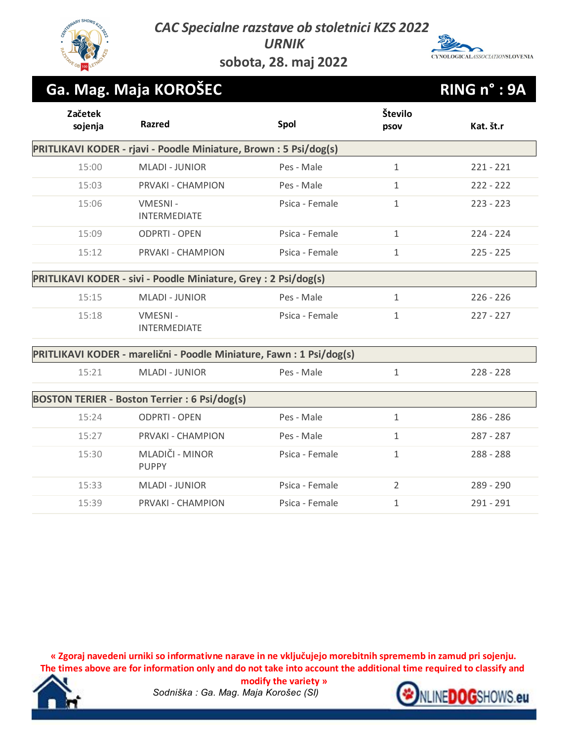*CAC Specialne razstave ob stoletnici KZS 2022*

# CYNOLOGICALASSOCIATIONSLOVENIA

**sobota, 28. maj 2022**

*URNIK*

## **Ga. Mag. Maja KOROŠEC RING n° : 9A**

| Začetek<br>sojenja                                                | <b>Razred</b>                                                        | Spol           | Število<br>psov | Kat. št.r   |  |  |
|-------------------------------------------------------------------|----------------------------------------------------------------------|----------------|-----------------|-------------|--|--|
| PRITLIKAVI KODER - rjavi - Poodle Miniature, Brown : 5 Psi/dog(s) |                                                                      |                |                 |             |  |  |
| 15:00                                                             | <b>MLADI - JUNIOR</b>                                                | Pes - Male     | $\mathbf{1}$    | $221 - 221$ |  |  |
| 15:03                                                             | PRVAKI - CHAMPION                                                    | Pes - Male     | $\mathbf{1}$    | $222 - 222$ |  |  |
| 15:06                                                             | VMESNI-<br><b>INTERMEDIATE</b>                                       | Psica - Female | $\mathbf{1}$    | $223 - 223$ |  |  |
| 15:09                                                             | <b>ODPRTI - OPEN</b>                                                 | Psica - Female | $\mathbf{1}$    | $224 - 224$ |  |  |
| 15:12                                                             | PRVAKI - CHAMPION                                                    | Psica - Female | $\mathbf{1}$    | $225 - 225$ |  |  |
|                                                                   | PRITLIKAVI KODER - sivi - Poodle Miniature, Grey : 2 Psi/dog(s)      |                |                 |             |  |  |
| 15:15                                                             | <b>MLADI - JUNIOR</b>                                                | Pes - Male     | $\mathbf{1}$    | $226 - 226$ |  |  |
| 15:18                                                             | VMESNI-<br><b>INTERMEDIATE</b>                                       | Psica - Female | $\mathbf{1}$    | $227 - 227$ |  |  |
|                                                                   | PRITLIKAVI KODER - marelični - Poodle Miniature, Fawn : 1 Psi/dog(s) |                |                 |             |  |  |
| 15:21                                                             | <b>MLADI - JUNIOR</b>                                                | Pes - Male     | $\mathbf{1}$    | $228 - 228$ |  |  |
|                                                                   | <b>BOSTON TERIER - Boston Terrier : 6 Psi/dog(s)</b>                 |                |                 |             |  |  |
| 15:24                                                             | <b>ODPRTI - OPEN</b>                                                 | Pes - Male     | $\mathbf{1}$    | $286 - 286$ |  |  |
| 15:27                                                             | PRVAKI - CHAMPION                                                    | Pes - Male     | $\mathbf{1}$    | $287 - 287$ |  |  |
| 15:30                                                             | MLADIČI - MINOR<br><b>PUPPY</b>                                      | Psica - Female | $\mathbf{1}$    | 288 - 288   |  |  |
| 15:33                                                             | <b>MLADI - JUNIOR</b>                                                | Psica - Female | $\overline{2}$  | $289 - 290$ |  |  |
| 15:39                                                             | <b>PRVAKI - CHAMPION</b>                                             | Psica - Female | $\mathbf{1}$    | $291 - 291$ |  |  |

**« Zgoraj navedeni urniki so informativne narave in ne vključujejo morebitnih sprememb in zamud pri sojenju. The times above are for information only and do not take into account the additional time required to classify and** 



*Sodniška : Ga. Mag. Maja Korošec (SI)* **modify the variety »**

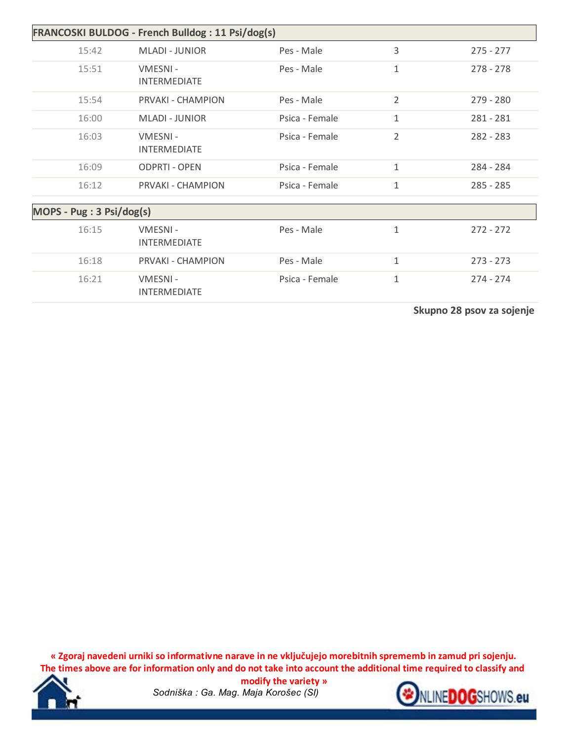| FRANCOSKI BULDOG - French Bulldog : 11 Psi/dog(s) |                                |                |                |             |  |
|---------------------------------------------------|--------------------------------|----------------|----------------|-------------|--|
| 15:42                                             | <b>MLADI - JUNIOR</b>          | Pes - Male     | 3              | $275 - 277$ |  |
| 15:51                                             | VMESNI-<br><b>INTERMEDIATE</b> | Pes - Male     | 1              | $278 - 278$ |  |
| 15:54                                             | PRVAKI - CHAMPION              | Pes - Male     | $\overline{2}$ | $279 - 280$ |  |
| 16:00                                             | <b>MLADI - JUNIOR</b>          | Psica - Female | $\mathbf{1}$   | $281 - 281$ |  |
| 16:03                                             | VMESNI-<br><b>INTERMEDIATE</b> | Psica - Female | $\overline{2}$ | $282 - 283$ |  |
| 16:09                                             | <b>ODPRTI - OPEN</b>           | Psica - Female | $\mathbf{1}$   | 284 - 284   |  |
| 16:12                                             | PRVAKI - CHAMPION              | Psica - Female | $\mathbf{1}$   | $285 - 285$ |  |
| MOPS - Pug: 3 Psi/dog(s)                          |                                |                |                |             |  |
| 16:15                                             | VMESNI-<br><b>INTERMEDIATE</b> | Pes - Male     | 1              | $272 - 272$ |  |
| 16:18                                             | PRVAKI - CHAMPION              | Pes - Male     | 1              | $273 - 273$ |  |
| 16:21                                             | VMESNI-<br><b>INTERMEDIATE</b> | Psica - Female | $\mathbf{1}$   | $274 - 274$ |  |

**Skupno 28 psov za sojenje**

**« Zgoraj navedeni urniki so informativne narave in ne vključujejo morebitnih sprememb in zamud pri sojenju. The times above are for information only and do not take into account the additional time required to classify and** 



*Sodniška : Ga. Mag. Maja Korošec (SI)* **modify the variety »**